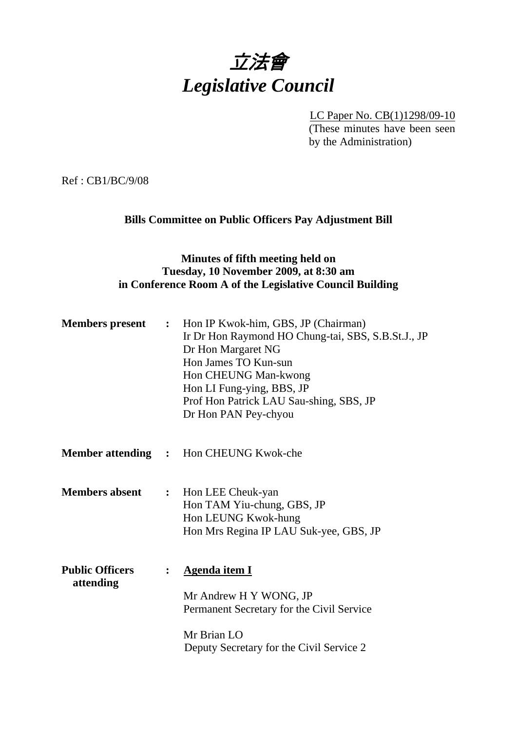

LC Paper No. CB(1)1298/09-10 (These minutes have been seen by the Administration)

Ref : CB1/BC/9/08

# **Bills Committee on Public Officers Pay Adjustment Bill**

# **Minutes of fifth meeting held on Tuesday, 10 November 2009, at 8:30 am in Conference Room A of the Legislative Council Building**

| <b>Members</b> present              | $\ddot{\cdot}$ | Hon IP Kwok-him, GBS, JP (Chairman)<br>Ir Dr Hon Raymond HO Chung-tai, SBS, S.B.St.J., JP<br>Dr Hon Margaret NG<br>Hon James TO Kun-sun<br>Hon CHEUNG Man-kwong<br>Hon LI Fung-ying, BBS, JP<br>Prof Hon Patrick LAU Sau-shing, SBS, JP<br>Dr Hon PAN Pey-chyou |
|-------------------------------------|----------------|-----------------------------------------------------------------------------------------------------------------------------------------------------------------------------------------------------------------------------------------------------------------|
| <b>Member attending :</b>           |                | Hon CHEUNG Kwok-che                                                                                                                                                                                                                                             |
| <b>Members absent</b>               | $\ddot{\cdot}$ | Hon LEE Cheuk-yan<br>Hon TAM Yiu-chung, GBS, JP<br>Hon LEUNG Kwok-hung<br>Hon Mrs Regina IP LAU Suk-yee, GBS, JP                                                                                                                                                |
| <b>Public Officers</b><br>attending |                | <b>Agenda item I</b><br>Mr Andrew H Y WONG, JP<br>Permanent Secretary for the Civil Service<br>Mr Brian LO<br>Deputy Secretary for the Civil Service 2                                                                                                          |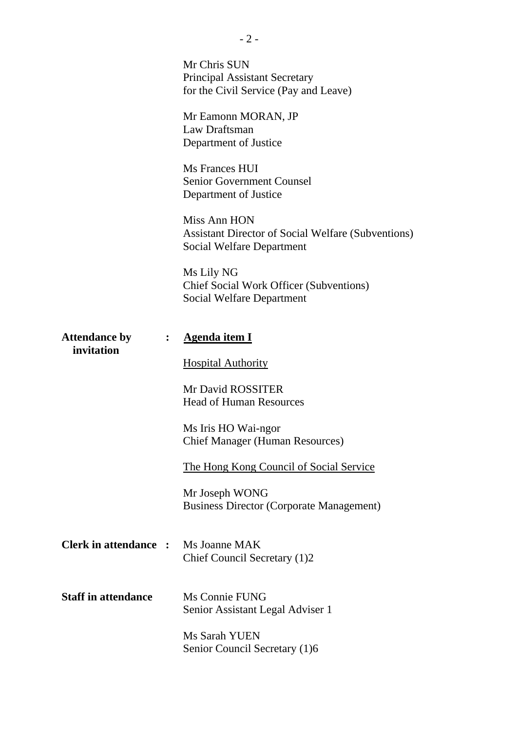|                                         | Mr Chris SUN<br><b>Principal Assistant Secretary</b><br>for the Civil Service (Pay and Leave)                 |
|-----------------------------------------|---------------------------------------------------------------------------------------------------------------|
|                                         | Mr Eamonn MORAN, JP<br>Law Draftsman<br>Department of Justice                                                 |
|                                         | Ms Frances HUI<br><b>Senior Government Counsel</b><br>Department of Justice                                   |
|                                         | Miss Ann HON<br><b>Assistant Director of Social Welfare (Subventions)</b><br><b>Social Welfare Department</b> |
|                                         | Ms Lily NG<br><b>Chief Social Work Officer (Subventions)</b><br><b>Social Welfare Department</b>              |
| <b>Attendance by</b><br>:<br>invitation | <b>Agenda item I</b>                                                                                          |
|                                         | <b>Hospital Authority</b>                                                                                     |
|                                         | <b>Mr David ROSSITER</b><br><b>Head of Human Resources</b>                                                    |
|                                         | Ms Iris HO Wai-ngor<br><b>Chief Manager (Human Resources)</b>                                                 |
|                                         | The Hong Kong Council of Social Service                                                                       |
|                                         | Mr Joseph WONG<br><b>Business Director (Corporate Management)</b>                                             |
| <b>Clerk in attendance :</b>            | Ms Joanne MAK<br>Chief Council Secretary (1)2                                                                 |
| <b>Staff in attendance</b>              | Ms Connie FUNG<br>Senior Assistant Legal Adviser 1                                                            |
|                                         | Ms Sarah YUEN<br>Senior Council Secretary (1)6                                                                |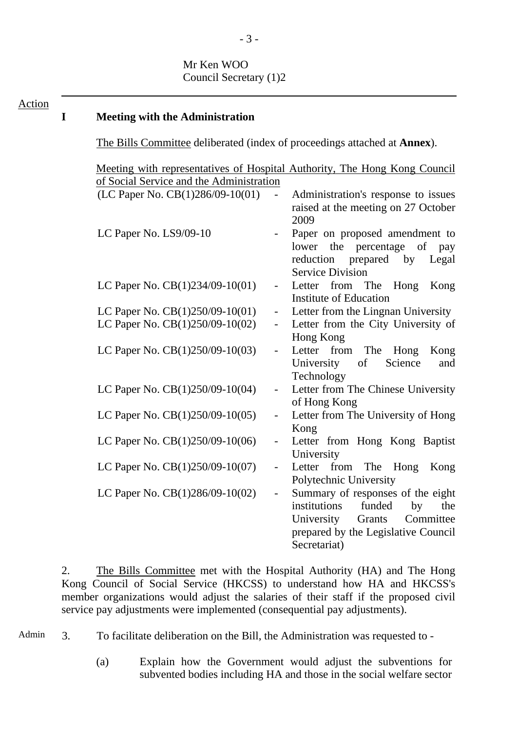Mr Ken WOO Council Secretary (1)2

# **I Meeting with the Administration**

Action

The Bills Committee deliberated (index of proceedings attached at **Annex**).

 Meeting with representatives of Hospital Authority, The Hong Kong Council of Social Service and the Administration  $(LC$  Paper No.  $CB(1)286/09-10(01)$  - Administration's response to issues raised at the meeting on 27 October 2009 LC Paper No. LS9/09-10 - Paper on proposed amendment to lower the percentage of pay reduction prepared by Legal Service Division LC Paper No. CB(1)234/09-10(01) - Letter from The Hong Kong Institute of Education LC Paper No.  $CB(1)250/09-10(01)$  - Letter from the Lingnan University LC Paper No.  $CB(1)250/09-10(02)$  - Letter from the City University of Hong Kong LC Paper No. CB(1)250/09-10(03) - Letter from The Hong Kong University of Science and Technology LC Paper No. CB(1)250/09-10(04) - Letter from The Chinese University of Hong Kong LC Paper No. CB(1)250/09-10(05) - Letter from The University of Hong Kong LC Paper No. CB(1)250/09-10(06) - Letter from Hong Kong Baptist University LC Paper No. CB(1)250/09-10(07) - Letter from The Hong Kong Polytechnic University LC Paper No.  $CB(1)286/09-10(02)$  - Summary of responses of the eight institutions funded by the University Grants Committee prepared by the Legislative Council Secretariat)

2. The Bills Committee met with the Hospital Authority (HA) and The Hong Kong Council of Social Service (HKCSS) to understand how HA and HKCSS's member organizations would adjust the salaries of their staff if the proposed civil service pay adjustments were implemented (consequential pay adjustments).

Admin 3. To facilitate deliberation on the Bill, the Administration was requested to -

(a) Explain how the Government would adjust the subventions for subvented bodies including HA and those in the social welfare sector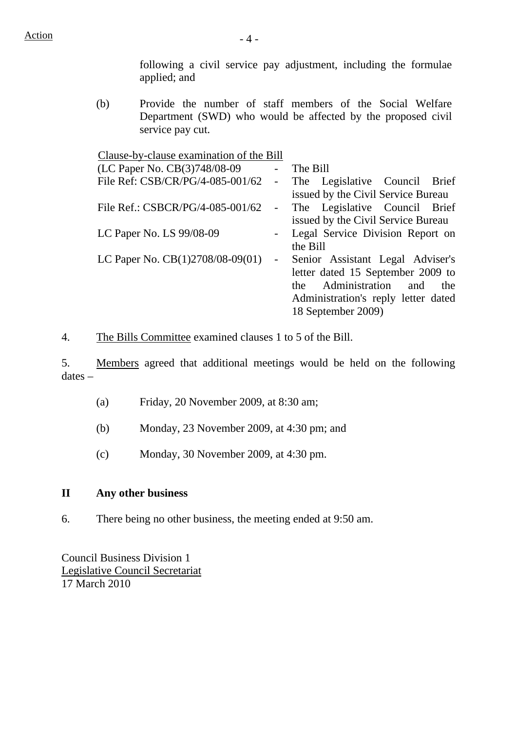following a civil service pay adjustment, including the formulae applied; and

(b) Provide the number of staff members of the Social Welfare Department (SWD) who would be affected by the proposed civil service pay cut.

Clause-by-clause examination of the Bill

| (LC Paper No. CB(3)748/08-09     |                                 | The Bill                             |
|----------------------------------|---------------------------------|--------------------------------------|
| File Ref: CSB/CR/PG/4-085-001/62 | $\frac{1}{2}$ and $\frac{1}{2}$ | The Legislative Council Brief        |
|                                  |                                 | issued by the Civil Service Bureau   |
| File Ref.: CSBCR/PG/4-085-001/62 |                                 | - The Legislative Council Brief      |
|                                  |                                 | issued by the Civil Service Bureau   |
| LC Paper No. LS 99/08-09         |                                 | Legal Service Division Report on     |
|                                  |                                 | the Bill                             |
| LC Paper No. CB(1)2708/08-09(01) | $\frac{1}{2}$ and $\frac{1}{2}$ | Senior Assistant Legal Adviser's     |
|                                  |                                 | letter dated 15 September 2009 to    |
|                                  |                                 | Administration<br>and<br>the<br>the. |
|                                  |                                 | Administration's reply letter dated  |
|                                  |                                 | 18 September 2009)                   |

4. The Bills Committee examined clauses 1 to 5 of the Bill.

5. Members agreed that additional meetings would be held on the following dates –

- (a) Friday, 20 November 2009, at 8:30 am;
- (b) Monday, 23 November 2009, at 4:30 pm; and
- (c) Monday, 30 November 2009, at 4:30 pm.

# **II Any other business**

6. There being no other business, the meeting ended at 9:50 am.

Council Business Division 1 Legislative Council Secretariat 17 March 2010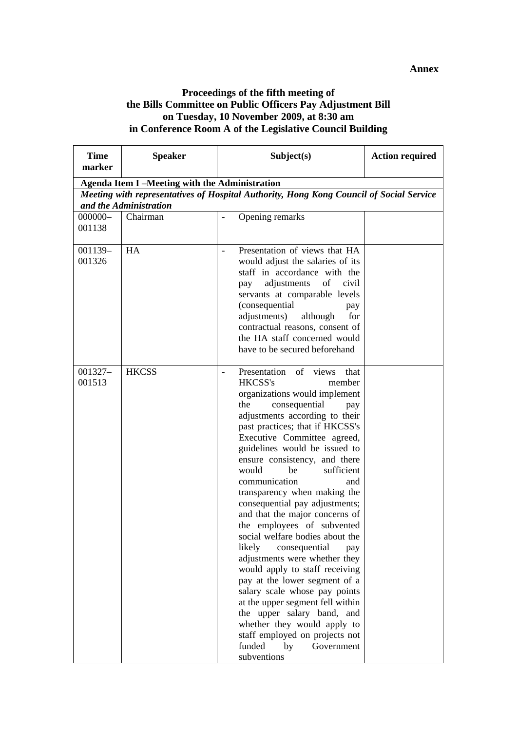#### **Proceedings of the fifth meeting of the Bills Committee on Public Officers Pay Adjustment Bill on Tuesday, 10 November 2009, at 8:30 am in Conference Room A of the Legislative Council Building**

| <b>Time</b><br>marker                                                                                             | <b>Speaker</b>                                       | Subject(s)                                                                                                                                                                                                                                                                                                                                                                                                                                                                                                                                                                                                                                                                                                                                                                                                                                                                | <b>Action required</b> |  |  |  |
|-------------------------------------------------------------------------------------------------------------------|------------------------------------------------------|---------------------------------------------------------------------------------------------------------------------------------------------------------------------------------------------------------------------------------------------------------------------------------------------------------------------------------------------------------------------------------------------------------------------------------------------------------------------------------------------------------------------------------------------------------------------------------------------------------------------------------------------------------------------------------------------------------------------------------------------------------------------------------------------------------------------------------------------------------------------------|------------------------|--|--|--|
|                                                                                                                   | <b>Agenda Item I-Meeting with the Administration</b> |                                                                                                                                                                                                                                                                                                                                                                                                                                                                                                                                                                                                                                                                                                                                                                                                                                                                           |                        |  |  |  |
| Meeting with representatives of Hospital Authority, Hong Kong Council of Social Service<br>and the Administration |                                                      |                                                                                                                                                                                                                                                                                                                                                                                                                                                                                                                                                                                                                                                                                                                                                                                                                                                                           |                        |  |  |  |
| $000000 -$<br>001138                                                                                              | Chairman                                             | Opening remarks                                                                                                                                                                                                                                                                                                                                                                                                                                                                                                                                                                                                                                                                                                                                                                                                                                                           |                        |  |  |  |
| 001139-<br>001326                                                                                                 | HA                                                   | Presentation of views that HA<br>would adjust the salaries of its<br>staff in accordance with the<br>adjustments<br>civil<br>of<br>pay<br>servants at comparable levels<br>(consequential<br>pay<br>adjustments)<br>although<br>for<br>contractual reasons, consent of<br>the HA staff concerned would<br>have to be secured beforehand                                                                                                                                                                                                                                                                                                                                                                                                                                                                                                                                   |                        |  |  |  |
| 001327-<br>001513                                                                                                 | <b>HKCSS</b>                                         | Presentation of views<br>that<br>HKCSS's<br>member<br>organizations would implement<br>consequential<br>the<br>pay<br>adjustments according to their<br>past practices; that if HKCSS's<br>Executive Committee agreed,<br>guidelines would be issued to<br>ensure consistency, and there<br>would<br>sufficient<br>be<br>communication<br>and<br>transparency when making the<br>consequential pay adjustments;<br>and that the major concerns of<br>the employees of subvented<br>social welfare bodies about the<br>likely<br>consequential<br>pay<br>adjustments were whether they<br>would apply to staff receiving<br>pay at the lower segment of a<br>salary scale whose pay points<br>at the upper segment fell within<br>the upper salary band, and<br>whether they would apply to<br>staff employed on projects not<br>funded<br>by<br>Government<br>subventions |                        |  |  |  |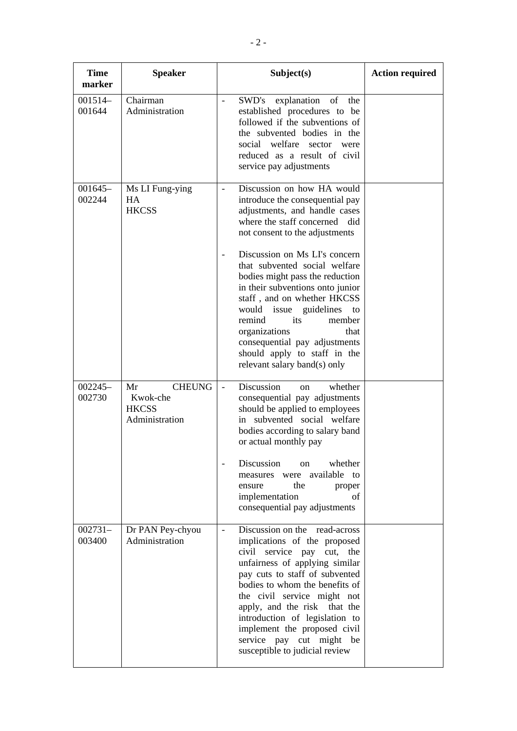| <b>Time</b><br>marker | <b>Speaker</b>                                                    | Subject(s)                                                                                                                                                                                                                                                                                                                                                                                                                                                                                                       | <b>Action required</b> |
|-----------------------|-------------------------------------------------------------------|------------------------------------------------------------------------------------------------------------------------------------------------------------------------------------------------------------------------------------------------------------------------------------------------------------------------------------------------------------------------------------------------------------------------------------------------------------------------------------------------------------------|------------------------|
| $001514-$<br>001644   | Chairman<br>Administration                                        | SWD's<br>explanation<br>of<br>the<br>$\overline{\phantom{0}}$<br>established procedures to be<br>followed if the subventions of<br>the subvented bodies in the<br>social welfare sector were<br>reduced as a result of civil<br>service pay adjustments                                                                                                                                                                                                                                                          |                        |
| $001645-$<br>002244   | Ms LI Fung-ying<br>HA<br><b>HKCSS</b>                             | Discussion on how HA would<br>$\overline{a}$<br>introduce the consequential pay<br>adjustments, and handle cases<br>where the staff concerned did<br>not consent to the adjustments<br>Discussion on Ms LI's concern<br>that subvented social welfare<br>bodies might pass the reduction<br>in their subventions onto junior<br>staff, and on whether HKCSS<br>would issue guidelines<br>to<br>remind<br>its<br>member<br>organizations<br>that<br>consequential pay adjustments<br>should apply to staff in the |                        |
|                       |                                                                   | relevant salary band(s) only                                                                                                                                                                                                                                                                                                                                                                                                                                                                                     |                        |
| $002245-$<br>002730   | Mr<br><b>CHEUNG</b><br>Kwok-che<br><b>HKCSS</b><br>Administration | Discussion<br>whether<br>$\blacksquare$<br>on<br>consequential pay adjustments<br>should be applied to employees<br>in subvented social welfare<br>bodies according to salary band<br>or actual monthly pay                                                                                                                                                                                                                                                                                                      |                        |
|                       |                                                                   | Discussion<br>whether<br>on<br>measures were available to<br>the<br>ensure<br>proper<br>implementation<br>of<br>consequential pay adjustments                                                                                                                                                                                                                                                                                                                                                                    |                        |
| $002731-$<br>003400   | Dr PAN Pey-chyou<br>Administration                                | Discussion on the read-across<br>implications of the proposed<br>civil service pay cut, the<br>unfairness of applying similar<br>pay cuts to staff of subvented<br>bodies to whom the benefits of<br>the civil service might not<br>apply, and the risk that the<br>introduction of legislation to<br>implement the proposed civil<br>service pay cut might be<br>susceptible to judicial review                                                                                                                 |                        |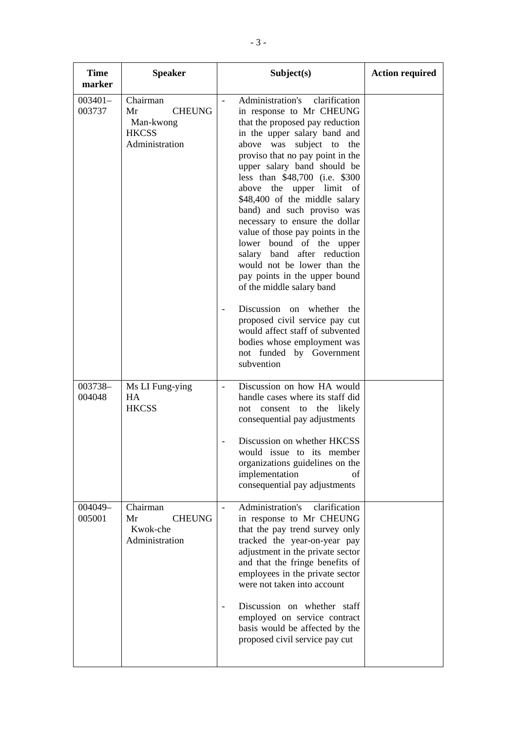| <b>Time</b><br>marker | <b>Speaker</b>                                                                 | Subject(s)                                                                                                                                                                                                                                                                                                                                                                                                                                                                                                                                                                                                                                                                                                                                                                      | <b>Action required</b> |
|-----------------------|--------------------------------------------------------------------------------|---------------------------------------------------------------------------------------------------------------------------------------------------------------------------------------------------------------------------------------------------------------------------------------------------------------------------------------------------------------------------------------------------------------------------------------------------------------------------------------------------------------------------------------------------------------------------------------------------------------------------------------------------------------------------------------------------------------------------------------------------------------------------------|------------------------|
| $003401-$<br>003737   | Chairman<br>Mr<br><b>CHEUNG</b><br>Man-kwong<br><b>HKCSS</b><br>Administration | Administration's<br>clarification<br>in response to Mr CHEUNG<br>that the proposed pay reduction<br>in the upper salary band and<br>above was<br>subject to the<br>proviso that no pay point in the<br>upper salary band should be<br>less than \$48,700 (i.e. \$300)<br>the upper limit of<br>above<br>\$48,400 of the middle salary<br>band) and such proviso was<br>necessary to ensure the dollar<br>value of those pay points in the<br>lower bound of the upper<br>salary band after reduction<br>would not be lower than the<br>pay points in the upper bound<br>of the middle salary band<br>Discussion on whether<br>the<br>proposed civil service pay cut<br>would affect staff of subvented<br>bodies whose employment was<br>not funded by Government<br>subvention |                        |
| 003738-<br>004048     | Ms LI Fung-ying<br>HA<br><b>HKCSS</b>                                          | Discussion on how HA would<br>$\frac{1}{2}$<br>handle cases where its staff did<br>not consent to the likely<br>consequential pay adjustments<br>Discussion on whether HKCSS<br>would issue to its member<br>organizations guidelines on the<br>implementation<br>of<br>consequential pay adjustments                                                                                                                                                                                                                                                                                                                                                                                                                                                                           |                        |
| 004049-<br>005001     | Chairman<br>Mr<br><b>CHEUNG</b><br>Kwok-che<br>Administration                  | Administration's<br>clarification<br>in response to Mr CHEUNG<br>that the pay trend survey only<br>tracked the year-on-year pay<br>adjustment in the private sector<br>and that the fringe benefits of<br>employees in the private sector<br>were not taken into account<br>Discussion on whether staff<br>employed on service contract<br>basis would be affected by the<br>proposed civil service pay cut                                                                                                                                                                                                                                                                                                                                                                     |                        |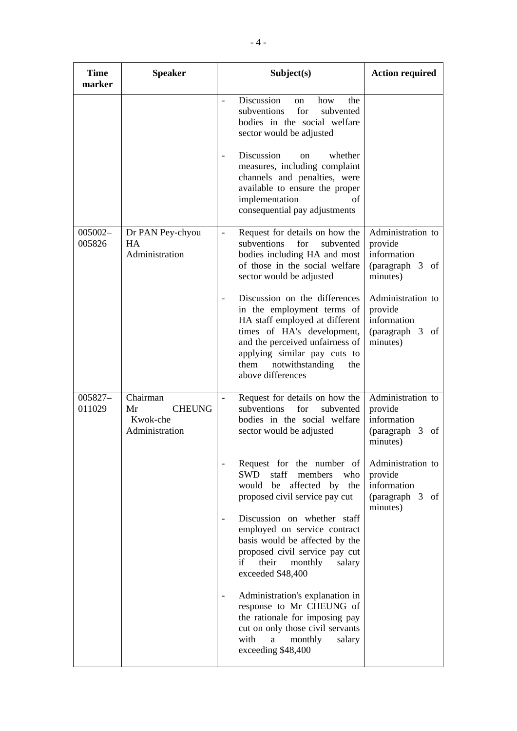| <b>Time</b><br>marker | <b>Speaker</b>                                                | Subject(s)                                                                                                                                                                                                                                                                                                         | <b>Action required</b>                                                        |
|-----------------------|---------------------------------------------------------------|--------------------------------------------------------------------------------------------------------------------------------------------------------------------------------------------------------------------------------------------------------------------------------------------------------------------|-------------------------------------------------------------------------------|
|                       |                                                               | Discussion<br>how<br>the<br>on<br>subventions<br>for<br>subvented<br>bodies in the social welfare<br>sector would be adjusted<br>Discussion<br>whether<br><sub>on</sub><br>measures, including complaint<br>channels and penalties, were<br>available to ensure the proper                                         |                                                                               |
| 005002-<br>005826     | Dr PAN Pey-chyou<br><b>HA</b>                                 | implementation<br>of<br>consequential pay adjustments<br>Request for details on how the<br>subventions<br>for<br>subvented                                                                                                                                                                                         | Administration to                                                             |
|                       | Administration                                                | bodies including HA and most<br>of those in the social welfare<br>sector would be adjusted                                                                                                                                                                                                                         | provide<br>information<br>(paragraph 3<br>of<br>minutes)                      |
|                       |                                                               | Discussion on the differences<br>in the employment terms of<br>HA staff employed at different<br>times of HA's development,<br>and the perceived unfairness of<br>applying similar pay cuts to<br>notwithstanding<br>them<br>the<br>above differences                                                              | Administration to<br>provide<br>information<br>(paragraph 3 of<br>minutes)    |
| 005827-<br>011029     | Chairman<br>Mr<br><b>CHEUNG</b><br>Kwok-che<br>Administration | Request for details on how the<br>subventions<br>for<br>subvented<br>bodies in the social welfare<br>sector would be adjusted                                                                                                                                                                                      | Administration to<br>provide<br>information<br>(paragraph 3<br>of<br>minutes) |
|                       |                                                               | Request for the number of<br>staff<br>SWD<br>members<br>who<br>would be affected by the<br>proposed civil service pay cut<br>Discussion on whether staff<br>employed on service contract<br>basis would be affected by the<br>proposed civil service pay cut<br>their monthly<br>if<br>salary<br>exceeded \$48,400 | Administration to<br>provide<br>information<br>(paragraph 3<br>of<br>minutes) |
|                       |                                                               | Administration's explanation in<br>response to Mr CHEUNG of<br>the rationale for imposing pay<br>cut on only those civil servants<br>with<br>monthly<br>a<br>salary<br>exceeding \$48,400                                                                                                                          |                                                                               |